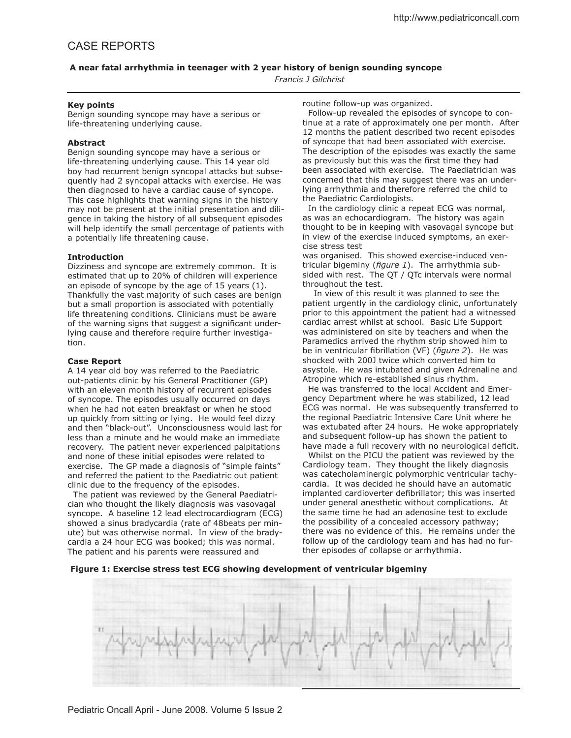# CASE REPORTS

# **A near fatal arrhythmia in teenager with 2 year history of benign sounding syncope**

*Francis J Gilchrist*

#### **Key points**

Benign sounding syncope may have a serious or life-threatening underlying cause.

## **Abstract**

Benign sounding syncope may have a serious or life-threatening underlying cause. This 14 year old boy had recurrent benign syncopal attacks but subsequently had 2 syncopal attacks with exercise. He was then diagnosed to have a cardiac cause of syncope. This case highlights that warning signs in the history may not be present at the initial presentation and diligence in taking the history of all subsequent episodes will help identify the small percentage of patients with a potentially life threatening cause.

#### **Introduction**

Dizziness and syncope are extremely common. It is estimated that up to 20% of children will experience an episode of syncope by the age of 15 years (1). Thankfully the vast majority of such cases are benign but a small proportion is associated with potentially life threatening conditions. Clinicians must be aware of the warning signs that suggest a significant underlying cause and therefore require further investigation.

#### **Case Report**

A 14 year old boy was referred to the Paediatric out-patients clinic by his General Practitioner (GP) with an eleven month history of recurrent episodes of syncope. The episodes usually occurred on days when he had not eaten breakfast or when he stood up quickly from sitting or lying. He would feel dizzy and then "black-out". Unconsciousness would last for less than a minute and he would make an immediate recovery. The patient never experienced palpitations and none of these initial episodes were related to exercise. The GP made a diagnosis of "simple faints" and referred the patient to the Paediatric out patient clinic due to the frequency of the episodes.

 The patient was reviewed by the General Paediatrician who thought the likely diagnosis was vasovagal syncope. A baseline 12 lead electrocardiogram (ECG) showed a sinus bradycardia (rate of 48beats per minute) but was otherwise normal. In view of the bradycardia a 24 hour ECG was booked; this was normal. The patient and his parents were reassured and

routine follow-up was organized.

 Follow-up revealed the episodes of syncope to continue at a rate of approximately one per month. After 12 months the patient described two recent episodes of syncope that had been associated with exercise. The description of the episodes was exactly the same as previously but this was the first time they had been associated with exercise. The Paediatrician was concerned that this may suggest there was an underlying arrhythmia and therefore referred the child to the Paediatric Cardiologists.

 In the cardiology clinic a repeat ECG was normal, as was an echocardiogram. The history was again thought to be in keeping with vasovagal syncope but in view of the exercise induced symptoms, an exercise stress test

was organised. This showed exercise-induced ventricular bigeminy (*figure 1*). The arrhythmia subsided with rest. The QT / QTc intervals were normal throughout the test.

 In view of this result it was planned to see the patient urgently in the cardiology clinic, unfortunately prior to this appointment the patient had a witnessed cardiac arrest whilst at school. Basic Life Support was administered on site by teachers and when the Paramedics arrived the rhythm strip showed him to be in ventricular fibrillation (VF) (*figure 2*). He was shocked with 200J twice which converted him to asystole. He was intubated and given Adrenaline and Atropine which re-established sinus rhythm.

 He was transferred to the local Accident and Emergency Department where he was stabilized, 12 lead ECG was normal. He was subsequently transferred to the regional Paediatric Intensive Care Unit where he was extubated after 24 hours. He woke appropriately and subsequent follow-up has shown the patient to have made a full recovery with no neurological deficit.

 Whilst on the PICU the patient was reviewed by the Cardiology team. They thought the likely diagnosis was catecholaminergic polymorphic ventricular tachycardia. It was decided he should have an automatic implanted cardioverter defibrillator; this was inserted under general anesthetic without complications. At the same time he had an adenosine test to exclude the possibility of a concealed accessory pathway; there was no evidence of this. He remains under the follow up of the cardiology team and has had no further episodes of collapse or arrhythmia.

**Figure 1: Exercise stress test ECG showing development of ventricular bigeminy**